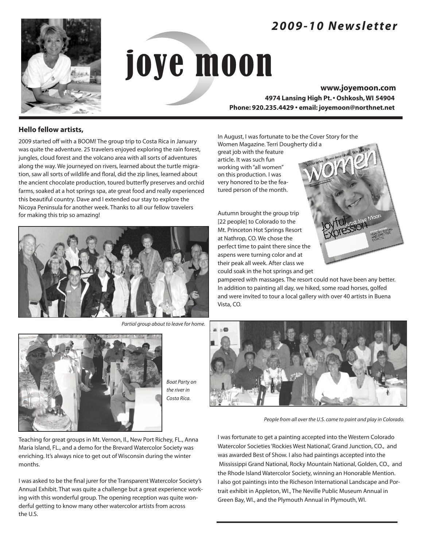# *2 0 0 9 - 1 0 N e w s l e t t e r*



# joye moon

**www.joyemoon.com 4974 Lansing High Pt. • Oshkosh, WI 54904 Phone: 920.235.4429 • email: joyemoon@northnet.net**

#### **Hello fellow artists,**

2009 started off with a BOOM! The group trip to Costa Rica in January was quite the adventure. 25 travelers enjoyed exploring the rain forest, jungles, cloud forest and the volcano area with all sorts of adventures along the way. We journeyed on rivers, learned about the turtle migration, saw all sorts of wildlife and floral, did the zip lines, learned about the ancient chocolate production, toured butterfly preserves and orchid farms, soaked at a hot springs spa, ate great food and really experienced this beautiful country. Dave and I extended our stay to explore the Nicoya Peninsula for another week. Thanks to all our fellow travelers for making this trip so amazing!



*Partial group about to leave for home.*



*Boat Party on the river in Costa Rica.*

In August, I was fortunate to be the Cover Story for the Women Magazine. Terri Dougherty did a

great job with the feature article. It was such fun working with "all women" on this production. I was very honored to be the featured person of the month.

Autumn brought the group trip [22 people] to Colorado to the Mt. Princeton Hot Springs Resort at Nathrop, CO. We chose the perfect time to paint there since the aspens were turning color and at their peak all week. After class we could soak in the hot springs and get

pampered with massages. The resort could not have been any better. In addition to painting all day, we hiked, some road horses, golfed and were invited to tour a local gallery with over 40 artists in Buena Vista, CO.



*People from all over the U.S. came to paint and play in Colorado.*

Teaching for great groups in Mt. Vernon, Il., New Port Richey, FL., Anna Maria Island, FL., and a demo for the Brevard Watercolor Society was enriching. It's always nice to get out of Wisconsin during the winter months.

I was asked to be the final jurer for the Transparent Watercolor Society's Annual Exhibit. That was quite a challenge but a great experience working with this wonderful group. The opening reception was quite wonderful getting to know many other watercolor artists from across the U.S.

I was fortunate to get a painting accepted into the Western Colorado Watercolor Societies 'Rockies West National', Grand Junction, CO., and was awarded Best of Show. I also had paintings accepted into the Mississippi Grand National, Rocky Mountain National, Golden, CO., and the Rhode Island Watercolor Society, winning an Honorable Mention. I also got paintings into the Richeson International Landscape and Portrait exhibit in Appleton, WI., The Neville Public Museum Annual in Green Bay, WI., and the Plymouth Annual in Plymouth, WI.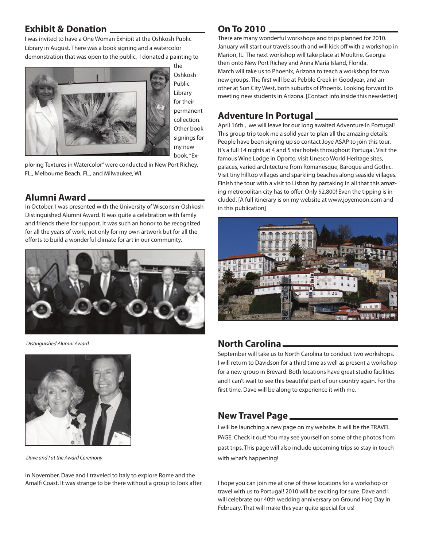## **Exhibit & Donation**

I was invited to have a One Woman Exhibit at the Oshkosh Public Library in August. There was a book signing and a watercolor demonstration that was open to the public. I donated a painting to



the Oshkosh Public Library for their permanent collection. Other book signings for my new book, "Ex-

ploring Textures in Watercolor" were conducted in New Port Richey, FL., Melbourne Beach, FL., and Milwaukee, WI.

### **Alumni Award**

In October, I was presented with the University of Wisconsin-Oshkosh Distinguished Alumni Award. It was quite a celebration with family and friends there for support. It was such an honor to be recognized for all the years of work, not only for my own artwork but for all the efforts to build a wonderful climate for art in our community.



*Distinguished Alumni Award*



*Dave and I at the Award Ceremony*

In November, Dave and I traveled to Italy to explore Rome and the Amalfi Coast. It was strange to be there without a group to look after.

## **On To 2010**

There are many wonderful workshops and trips planned for 2010. January will start our travels south and will kick off with a workshop in Marion, IL. The next workshop will take place at Moultrie, Georgia then onto New Port Richey and Anna Maria Island, Florida. March will take us to Phoenix, Arizona to teach a workshop for two new groups. The first will be at Pebble Creek in Goodyear, and another at Sun City West, both suburbs of Phoenix. Looking forward to meeting new students in Arizona. [Contact info inside this newsletter]

## **Adventure In Portugal**

April 16th., we will leave for our long awaited Adventure in Portugal! This group trip took me a solid year to plan all the amazing details. People have been signing up so contact Joye ASAP to join this tour. It's a full 14 nights at 4 and 5 star hotels throughout Portugal. Visit the famous Wine Lodge in Oporto, visit Unesco World Heritage sites, palaces, varied architecture from Romanesque, Baroque and Gothic. Visit tiny hilltop villages and sparkling beaches along seaside villages. Finish the tour with a visit to Lisbon by partaking in all that this amazing metropolitan city has to offer. Only \$2,800! Even the tipping is included. [A full itinerary is on my website at www.joyemoon.com and in this publication]



## **North Carolina**

September will take us to North Carolina to conduct two workshops. I will return to Davidson for a third time as well as present a workshop for a new group in Brevard. Both locations have great studio facilities and I can't wait to see this beautiful part of our country again. For the first time, Dave will be along to experience it with me.

## **New Travel Page**

I will be launching a new page on my website. It will be the TRAVEL PAGE. Check it out! You may see yourself on some of the photos from past trips. This page will also include upcoming trips so stay in touch with what's happening!

I hope you can join me at one of these locations for a workshop or travel with us to Portugal! 2010 will be exciting for sure. Dave and I will celebrate our 40th wedding anniversary on Ground Hog Day in February. That will make this year quite special for us!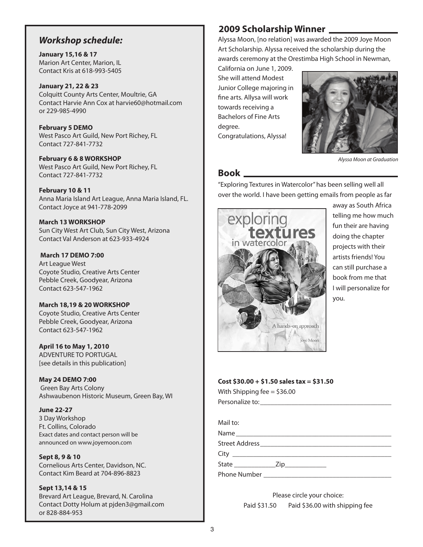#### *Workshop schedule:*

**January 15,16 & 17** Marion Art Center, Marion, IL Contact Kris at 618-993-5405

**January 21, 22 & 23** Colquitt County Arts Center, Moultrie, GA Contact Harvie Ann Cox at harvie60@hotmail.com or 229-985-4990

**February 5 DEMO** West Pasco Art Guild, New Port Richey, FL Contact 727-841-7732

**February 6 & 8 WORKSHOP** West Pasco Art Guild, New Port Richey, FL Contact 727-841-7732

**February 10 & 11** Anna Maria Island Art League, Anna Maria Island, FL. Contact Joyce at 941-778-2099

**March 13 WORKSHOP** Sun City West Art Club, Sun City West, Arizona Contact Val Anderson at 623-933-4924

**March 17 DEMO 7:00** Art League West Coyote Studio, Creative Arts Center Pebble Creek, Goodyear, Arizona Contact 623-547-1962

**March 18,19 & 20 WORKSHOP** Coyote Studio, Creative Arts Center Pebble Creek, Goodyear, Arizona Contact 623-547-1962

**April 16 to May 1, 2010** ADVENTURE TO PORTUGAL [see details in this publication]

#### **May 24 DEMO 7:00** Green Bay Arts Colony

Ashwaubenon Historic Museum, Green Bay, WI

**June 22-27** 3 Day Workshop Ft. Collins, Colorado Exact dates and contact person will be announced on www.joyemoon.com

**Sept 8, 9 & 10** Cornelious Arts Center, Davidson, NC. Contact Kim Beard at 704-896-8823

**Sept 13,14 & 15** Brevard Art League, Brevard, N. Carolina Contact Dotty Holum at pjden3@gmail.com or 828-884-953

## **2009 Scholarship Winner**

Alyssa Moon, [no relation] was awarded the 2009 Joye Moon Art Scholarship. Alyssa received the scholarship during the awards ceremony at the Orestimba High School in Newman,

California on June 1, 2009. She will attend Modest Junior College majoring in fine arts. Allysa will work towards receiving a Bachelors of Fine Arts degree. Congratulations, Alyssa!



*Alyssa Moon at Graduation*

#### **Book**

"Exploring Textures in Watercolor" has been selling well all over the world. I have been getting emails from people as far



away as South Africa telling me how much fun their are having doing the chapter projects with their artists friends! You can still purchase a book from me that I will personalize for you.

#### **Cost \$30.00 + \$1.50 sales tax = \$31.50**

| With Shipping fee = $$36.00$ |  |
|------------------------------|--|
| Personalize to:              |  |

| Mail to:         |  |
|------------------|--|
|                  |  |
|                  |  |
|                  |  |
| State <b>Zip</b> |  |
|                  |  |

Please circle your choice: Paid \$31.50 Paid \$36.00 with shipping fee